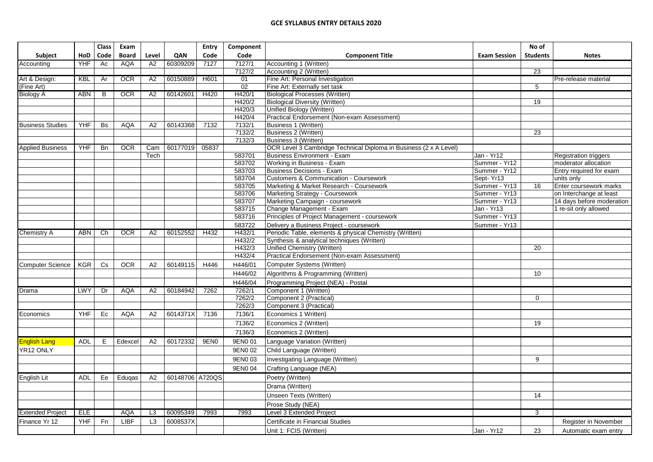|                         |            | <b>Class</b>   | Exam         |                 |                 | Entry            | Component        |                                                                                       |                            | No of           |                                      |
|-------------------------|------------|----------------|--------------|-----------------|-----------------|------------------|------------------|---------------------------------------------------------------------------------------|----------------------------|-----------------|--------------------------------------|
| <b>Subject</b>          | HoD        | Code           | <b>Board</b> | Level           | QAN             | Code             | Code             | <b>Component Title</b>                                                                | <b>Exam Session</b>        | <b>Students</b> | <b>Notes</b>                         |
| Accounting              | <b>YHF</b> | Ac             | <b>AQA</b>   | A2              | 60309209        | 7127             | 7127/1           | Accounting 1 (Written)                                                                |                            |                 |                                      |
|                         |            |                |              |                 |                 |                  | 7127/2           | Accounting 2 (Written)                                                                |                            | 23              |                                      |
| Art & Design:           | KBL        | Ar             | <b>OCR</b>   | A <sub>2</sub>  | 60150889        | H601             | 01               | Fine Art: Personal Investigation                                                      |                            |                 | Pre-release material                 |
| (Fine Art)              |            |                |              |                 |                 |                  | 02               | Fine Art: Externally set task                                                         |                            | $5\overline{)}$ |                                      |
| <b>Biology A</b>        | <b>ABN</b> | $\overline{B}$ | OCR          | $\overline{A2}$ | 60142601        | H420             | H420/1           | <b>Biological Processes (Written)</b>                                                 |                            |                 |                                      |
|                         |            |                |              |                 |                 |                  | H420/2           | <b>Biological Diversity (Written)</b>                                                 |                            | 19              |                                      |
|                         |            |                |              |                 |                 |                  | H420/3           | Unified Biology (Written)                                                             |                            |                 |                                      |
|                         |            |                |              |                 |                 |                  | H420/4           | Practical Endorsement (Non-exam Assessment)                                           |                            |                 |                                      |
| <b>Business Studies</b> | <b>YHF</b> | <b>Bs</b>      | <b>AQA</b>   | A <sub>2</sub>  | 60143368        | 7132             | 7132/1           | Business 1 (Written)                                                                  |                            |                 |                                      |
|                         |            |                |              |                 |                 |                  | 7132/2           | Business 2 (Written)                                                                  |                            | 23              |                                      |
|                         |            |                |              |                 |                 |                  | 7132/3           | Business 3 (Written)                                                                  |                            |                 |                                      |
| <b>Applied Business</b> | <b>YHF</b> | <b>Bn</b>      | <b>OCR</b>   | Cam             | 60177019        | 05837            |                  | OCR Level 3 Cambridge Technical Diploma in Business (2 x A Level)                     |                            |                 |                                      |
|                         |            |                |              | Tech            |                 |                  | 583701           | <b>Business Environment - Exam</b>                                                    | Jan - Yr12                 |                 | <b>Registration triggers</b>         |
|                         |            |                |              |                 |                 |                  | 583702           | Working in Business - Exam                                                            | Summer - Yr12              |                 | moderator allocation                 |
|                         |            |                |              |                 |                 |                  | 583703<br>583704 | <b>Business Decisions - Exam</b><br><b>Customers &amp; Communication - Coursework</b> | Summer - Yr12              |                 | Entry required for exam              |
|                         |            |                |              |                 |                 |                  | 583705           | Marketing & Market Research - Coursework                                              | Sept-Yr13<br>Summer - Yr13 | 16              | units only<br>Enter coursework marks |
|                         |            |                |              |                 |                 |                  | 583706           | Marketing Strategy - Coursework                                                       | Summer - Yr13              |                 | on Interchange at least              |
|                         |            |                |              |                 |                 |                  | 583707           | Marketing Campaign - coursework                                                       | Summer - Yr13              |                 | 14 days before moderation            |
|                         |            |                |              |                 |                 |                  | 583715           | Change Management - Exam                                                              | Jan - Yr13                 |                 | 1 re-sit only allowed                |
|                         |            |                |              |                 |                 |                  | 583716           | Principles of Project Management - coursework                                         | Summer - Yr13              |                 |                                      |
|                         |            |                |              |                 |                 |                  | 583722           | Delivery a Business Project - coursework                                              | Summer - Yr13              |                 |                                      |
| Chemistry A             | ABN        | Ch             | <b>OCR</b>   | A <sub>2</sub>  | 60152552        | H432             | H432/1           | Periodic Table, elements & physical Chemistry (Written)                               |                            |                 |                                      |
|                         |            |                |              |                 |                 |                  | H432/2           | Synthesis & analytical techniques (Written)                                           |                            |                 |                                      |
|                         |            |                |              |                 |                 |                  | H432/3           | Unified Chemistry (Written)                                                           |                            | 20              |                                      |
|                         |            |                |              |                 |                 |                  | H432/4           | Practical Endorsement (Non-exam Assessment)                                           |                            |                 |                                      |
| <b>Computer Science</b> | <b>KGR</b> | Cs             | <b>OCR</b>   | A <sub>2</sub>  | 60149115        | H446             | H446/01          | Computer Systems (Written)                                                            |                            |                 |                                      |
|                         |            |                |              |                 |                 |                  | H446/02          | Algorithms & Programming (Written)                                                    |                            | 10              |                                      |
|                         |            |                |              |                 |                 |                  | H446/04          | Programming Project (NEA) - Postal                                                    |                            |                 |                                      |
| Drama                   | <b>LWY</b> | Dr             | <b>AQA</b>   | $\overline{A2}$ | 60184942        | 7262             | 7262/1           | Component 1 (Written)                                                                 |                            |                 |                                      |
|                         |            |                |              |                 |                 |                  | 7262/2           | Component 2 (Practical)                                                               |                            | $\Omega$        |                                      |
|                         |            |                |              |                 |                 |                  | 7262/3           | Component 3 (Practical)                                                               |                            |                 |                                      |
| Economics               | <b>YHF</b> | Ec             | <b>AQA</b>   | A2              | 6014371X        | 7136             | 7136/1           | Economics 1 Written)                                                                  |                            |                 |                                      |
|                         |            |                |              |                 |                 |                  | 7136/2           |                                                                                       |                            |                 |                                      |
|                         |            |                |              |                 |                 |                  |                  | Economics 2 (Written)                                                                 |                            | 19              |                                      |
|                         |            |                |              |                 |                 |                  | 7136/3           | Economics 2 (Written)                                                                 |                            |                 |                                      |
| <b>English Lang</b>     | <b>ADL</b> | Е              | Edexcel      | A <sub>2</sub>  | 60172332        | 9EN <sub>0</sub> | 9EN001           | Language Variation (Written)                                                          |                            |                 |                                      |
| YR12 ONLY               |            |                |              |                 |                 |                  | 9EN0 02          | Child Language (Written)                                                              |                            |                 |                                      |
|                         |            |                |              |                 |                 |                  | 9EN003           | Investigating Language (Written)                                                      |                            | 9               |                                      |
|                         |            |                |              |                 |                 |                  | 9EN0 04          | Crafting Language (NEA)                                                               |                            |                 |                                      |
| English Lit             | <b>ADL</b> | Ee             | Edugas       | A2              | 60148706 A720QS |                  |                  | Poetry (Written)                                                                      |                            |                 |                                      |
|                         |            |                |              |                 |                 |                  |                  | Drama (Written)                                                                       |                            |                 |                                      |
|                         |            |                |              |                 |                 |                  |                  | Unseen Texts (Written)                                                                |                            | 14              |                                      |
|                         |            |                |              |                 |                 |                  |                  | Prose Study (NEA)                                                                     |                            |                 |                                      |
| Extended Project        | <b>ELE</b> |                | <b>AQA</b>   | L3              | 60095349        | 7993             | 7993             | Level 3 Extended Project                                                              |                            | 3               |                                      |
| Finance Yr 12           | YHF        | Fn             | <b>LIBF</b>  | L3              | 6008537X        |                  |                  | Certificate in Financial Studies                                                      |                            |                 | Register in November                 |
|                         |            |                |              |                 |                 |                  |                  | Unit 1: FCIS (Written)                                                                | Jan - Yr12                 | 23              | Automatic exam entry                 |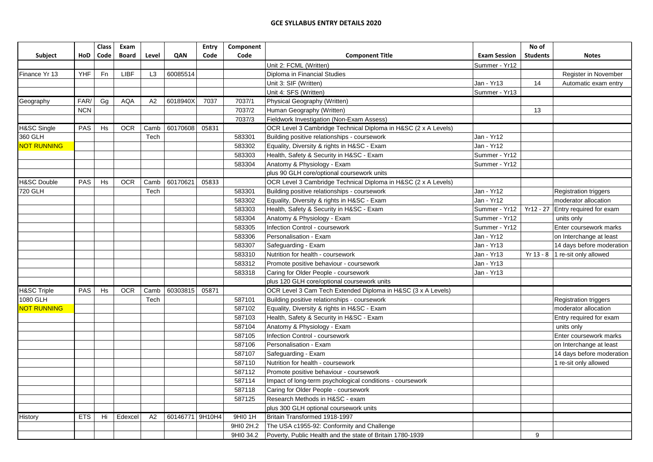| QAN<br>Code<br>Subject<br>HoD<br>Code<br><b>Board</b><br>Level<br>Code<br><b>Component Title</b><br><b>Exam Session</b><br><b>Students</b><br>Unit 2: FCML (Written)<br>Summer - Yr12 | <b>Notes</b>                 |
|---------------------------------------------------------------------------------------------------------------------------------------------------------------------------------------|------------------------------|
|                                                                                                                                                                                       |                              |
|                                                                                                                                                                                       |                              |
| Fn<br>LIBF<br>60085514<br>Finance Yr 13<br><b>YHF</b><br>L <sub>3</sub><br>Diploma in Financial Studies                                                                               | Register in November         |
| Jan - Yr13<br>Unit 3: SIF (Written)<br>14                                                                                                                                             | Automatic exam entry         |
| Unit 4: SFS (Written)<br>Summer - Yr13                                                                                                                                                |                              |
| FAR/<br>Gg<br><b>AQA</b><br>6018940X<br>7037<br>7037/1<br>Physical Geography (Written)<br>Geography<br>A2                                                                             |                              |
| <b>NCN</b><br>7037/2<br>Human Geography (Written)<br>13                                                                                                                               |                              |
| 7037/3<br>Fieldwork Investigation (Non-Exam Assess)                                                                                                                                   |                              |
| H&SC Single<br><b>PAS</b><br><b>OCR</b><br>60170608<br>05831<br>OCR Level 3 Cambridge Technical Diploma in H&SC (2 x A Levels)<br>Hs<br>Camb                                          |                              |
| 360 GLH<br>Jan - Yr12<br>Tech<br>583301<br>Building positive relationships - coursework                                                                                               |                              |
| Jan - Yr12<br><b>NOT RUNNING</b><br>583302<br>Equality, Diversity & rights in H&SC - Exam                                                                                             |                              |
| 583303<br>Health, Safety & Security in H&SC - Exam<br>Summer - Yr12                                                                                                                   |                              |
| Anatomy & Physiology - Exam<br>583304<br>Summer - Yr12                                                                                                                                |                              |
| plus 90 GLH core/optional coursework units                                                                                                                                            |                              |
| <b>H&amp;SC Double</b><br><b>PAS</b><br><b>OCR</b><br>60170621<br>05833<br>OCR Level 3 Cambridge Technical Diploma in H&SC (2 x A Levels)<br>Hs<br>Camb                               |                              |
| Jan - Yr12<br>720 GLH<br>583301<br>Building positive relationships - coursework<br>Tech                                                                                               | Registration triggers        |
| 583302<br>Equality, Diversity & rights in H&SC - Exam<br>Jan - Yr12                                                                                                                   | moderator allocation         |
| Health, Safety & Security in H&SC - Exam<br>583303<br>Summer - Yr12<br>Yr12 - 27 Entry required for exam                                                                              |                              |
| Anatomy & Physiology - Exam<br>Summer - Yr12<br>583304<br>units only                                                                                                                  |                              |
| 583305<br>Infection Control - coursework<br>Summer - Yr12                                                                                                                             | Enter coursework marks       |
| 583306<br>Jan - Yr12<br>Personalisation - Exam                                                                                                                                        | on Interchange at least      |
| 583307<br>Safeguarding - Exam<br>Jan - Yr13                                                                                                                                           | 14 days before moderation    |
| 583310<br>Nutrition for health - coursework<br>Jan - Yr13<br>$Yr 13 - 8$                                                                                                              | 1 re-sit only allowed        |
| Jan - Yr13<br>583312<br>Promote positive behaviour - coursework                                                                                                                       |                              |
| Jan - Yr13<br>583318<br>Caring for Older People - coursework                                                                                                                          |                              |
| plus 120 GLH core/optional coursework units                                                                                                                                           |                              |
| <b>H&amp;SC Triple</b><br><b>PAS</b><br><b>OCR</b><br>60303815<br>OCR Level 3 Cam Tech Extended Diploma in H&SC (3 x A Levels)<br>Hs<br>Camb<br>05871                                 |                              |
| 1080 GLH<br>587101<br>Building positive relationships - coursework<br>Tech                                                                                                            | <b>Registration triggers</b> |
| <b>NOT RUNNING</b><br>587102<br>Equality, Diversity & rights in H&SC - Exam                                                                                                           | moderator allocation         |
| Health, Safety & Security in H&SC - Exam<br>587103                                                                                                                                    | Entry required for exam      |
| 587104<br>Anatomy & Physiology - Exam<br>units only                                                                                                                                   |                              |
| <b>Infection Control - coursework</b><br>587105                                                                                                                                       | Enter coursework marks       |
| 587106<br>Personalisation - Exam                                                                                                                                                      | on Interchange at least      |
| 587107<br>Safeguarding - Exam                                                                                                                                                         | 14 days before moderation    |
| 587110<br>Nutrition for health - coursework                                                                                                                                           | 1 re-sit only allowed        |
| 587112<br>Promote positive behaviour - coursework                                                                                                                                     |                              |
| 587114<br>Impact of long-term psychological conditions - coursework                                                                                                                   |                              |
| Caring for Older People - coursework<br>587118                                                                                                                                        |                              |
| Research Methods in H&SC - exam<br>587125                                                                                                                                             |                              |
| plus 300 GLH optional coursework units                                                                                                                                                |                              |
| <b>History</b><br>Edexcel<br>60146771 9H10H4<br>9HI0 1H<br>Britain Transformed 1918-1997<br><b>ETS</b><br>Hi<br>A2                                                                    |                              |
| The USA c1955-92: Conformity and Challenge<br>9HI0 2H.2                                                                                                                               |                              |
| 9<br>9HI0 34.2<br>Poverty, Public Health and the state of Britain 1780-1939                                                                                                           |                              |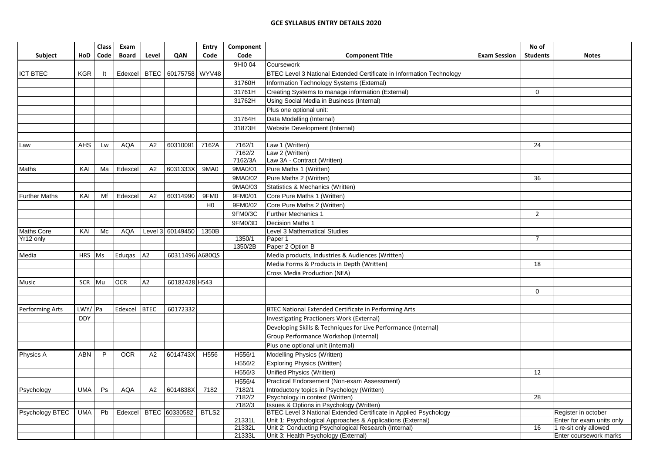|                        |            | <b>Class</b> | Exam         |             |                     | Entry          | Component        |                                                                                              |                     | No of           |                           |
|------------------------|------------|--------------|--------------|-------------|---------------------|----------------|------------------|----------------------------------------------------------------------------------------------|---------------------|-----------------|---------------------------|
| <b>Subject</b>         | HoD        | Code         | <b>Board</b> | Level       | QAN                 | Code           | Code             | <b>Component Title</b>                                                                       | <b>Exam Session</b> | <b>Students</b> | <b>Notes</b>              |
|                        |            |              |              |             |                     |                | 9HI0 04          | Coursework                                                                                   |                     |                 |                           |
| <b>ICT BTEC</b>        | <b>KGR</b> | It           | Edexcel      |             | BTEC 60175758 WYV48 |                |                  | BTEC Level 3 National Extended Certificate in Information Technology                         |                     |                 |                           |
|                        |            |              |              |             |                     |                | 31760H           | Information Technology Systems (External)                                                    |                     |                 |                           |
|                        |            |              |              |             |                     |                | 31761H           | Creating Systems to manage information (External)                                            |                     | $\mathbf{0}$    |                           |
|                        |            |              |              |             |                     |                | 31762H           | Using Social Media in Business (Internal)                                                    |                     |                 |                           |
|                        |            |              |              |             |                     |                |                  | Plus one optional unit:                                                                      |                     |                 |                           |
|                        |            |              |              |             |                     |                | 31764H           | Data Modelling (Internal)                                                                    |                     |                 |                           |
|                        |            |              |              |             |                     |                | 31873H           | Website Development (Internal)                                                               |                     |                 |                           |
|                        |            |              |              |             |                     |                |                  |                                                                                              |                     |                 |                           |
| Law                    | <b>AHS</b> | Lw           | <b>AQA</b>   | A2          | 60310091            | 7162A          | 7162/1           | Law 1 (Written)                                                                              |                     | 24              |                           |
|                        |            |              |              |             |                     |                | 7162/2           | Law 2 (Written)                                                                              |                     |                 |                           |
|                        |            |              |              |             |                     |                | 7162/3A          | Law 3A - Contract (Written)                                                                  |                     |                 |                           |
| Maths                  | KAI        | Ma           | Edexcel      | A2          | 6031333X            | 9MA0           | 9MA0/01          | Pure Maths 1 (Written)                                                                       |                     |                 |                           |
|                        |            |              |              |             |                     |                | 9MA0/02          | Pure Maths 2 (Written)                                                                       |                     | 36              |                           |
|                        |            |              |              |             |                     |                | 9MA0/03          | Statistics & Mechanics (Written)                                                             |                     |                 |                           |
| <b>Further Maths</b>   | KAI        | Mf           | Edexcel      | A2          | 60314990            | 9FM0           | 9FM0/01          | Core Pure Maths 1 (Written)                                                                  |                     |                 |                           |
|                        |            |              |              |             |                     | H <sub>0</sub> | 9FM0/02          | Core Pure Maths 2 (Written)                                                                  |                     |                 |                           |
|                        |            |              |              |             |                     |                | 9FM0/3C          | <b>Further Mechanics 1</b>                                                                   |                     | $\overline{2}$  |                           |
|                        |            |              |              |             |                     |                | 9FM0/3D          | <b>Decision Maths 1</b>                                                                      |                     |                 |                           |
| <b>Maths Core</b>      | KAI        | Mc           | <b>AQA</b>   |             | Level 3 60149450    | 1350B          |                  | Level 3 Mathematical Studies                                                                 |                     |                 |                           |
| Yr12 only              |            |              |              |             |                     |                | 1350/1           | Paper 1                                                                                      |                     | $\overline{7}$  |                           |
|                        |            |              |              |             |                     |                | 1350/2B          | Paper 2 Option B                                                                             |                     |                 |                           |
| Media                  | HRS Ms     |              | Edugas       | A2          | 60311496 A680QS     |                |                  | Media products, Industries & Audiences (Written)                                             |                     |                 |                           |
|                        |            |              |              |             |                     |                |                  | Media Forms & Products in Depth (Written)                                                    |                     | 18              |                           |
|                        |            |              |              |             |                     |                |                  | Cross Media Production (NEA)                                                                 |                     |                 |                           |
| Music                  | SCR Mu     |              | <b>OCR</b>   | A2          | 60182428 H543       |                |                  |                                                                                              |                     |                 |                           |
|                        |            |              |              |             |                     |                |                  |                                                                                              |                     | $\mathbf 0$     |                           |
|                        |            |              |              |             |                     |                |                  |                                                                                              |                     |                 |                           |
| <b>Performing Arts</b> | LWY/ Pa    |              | Edexcel      | <b>BTEC</b> | 60172332            |                |                  | BTEC National Extended Certificate in Performing Arts                                        |                     |                 |                           |
|                        | <b>DDY</b> |              |              |             |                     |                |                  | Investigating Practioners Work (External)                                                    |                     |                 |                           |
|                        |            |              |              |             |                     |                |                  | Developing Skills & Techniques for Live Performance (Internal)                               |                     |                 |                           |
|                        |            |              |              |             |                     |                |                  | Group Performance Workshop (Internal)                                                        |                     |                 |                           |
|                        |            |              |              |             |                     |                |                  | Plus one optional unit (internal)                                                            |                     |                 |                           |
| Physics A              | <b>ABN</b> | P            | <b>OCR</b>   | A2          | 6014743X            | H556           | H556/1           | Modelling Physics (Written)                                                                  |                     |                 |                           |
|                        |            |              |              |             |                     |                | H556/2           | <b>Exploring Physics (Written)</b>                                                           |                     |                 |                           |
|                        |            |              |              |             |                     |                | H556/3           | Unified Physics (Written)                                                                    |                     | 12              |                           |
|                        |            |              |              |             |                     |                | H556/4           | Practical Endorsement (Non-exam Assessment)                                                  |                     |                 |                           |
| Psychology             | <b>UMA</b> | Ps           | <b>AQA</b>   | A2          | 6014838X            | 7182           | 7182/1           | Introductory topics in Psychology (Written)                                                  |                     |                 |                           |
|                        |            |              |              |             |                     |                | 7182/2           | Psychology in context (Written)                                                              |                     | 28              |                           |
|                        |            |              |              |             |                     |                | 7182/3           | Issues & Options in Psychology (Written)                                                     |                     |                 |                           |
| Psychology BTEC        | <b>UMA</b> | Pb           | Edexcel      |             | BTEC 60330582       | BTLS2          |                  | BTEC Level 3 National Extended Certificate in Applied Psychology                             |                     |                 | Register in october       |
|                        |            |              |              |             |                     |                | 21331L           | Unit 1: Psychological Approaches & Applications (External)                                   |                     |                 | Enter for exam units only |
|                        |            |              |              |             |                     |                | 21332L<br>21333L | Unit 2: Conducting Psychological Research (Internal)<br>Unit 3: Health Psychology (External) |                     | 16              | 1 re-sit only allowed     |
|                        |            |              |              |             |                     |                |                  |                                                                                              |                     |                 | Enter coursework marks    |